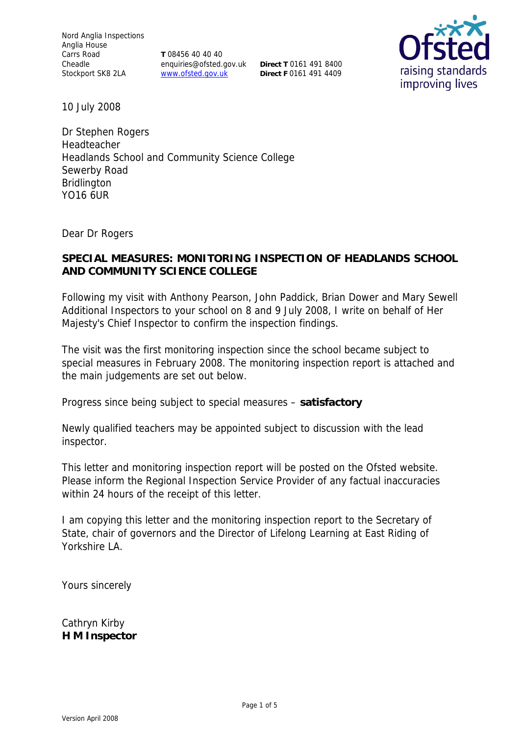Nord Anglia Inspections Anglia House Carrs Road Cheadle Stockport SK8 2LA

**T** 08456 40 40 40 enquiries@ofsted.gov.uk www.ofsted.gov.uk

**Direct T** 0161 491 8400 **Direct F** 0161 491 4409



10 July 2008

Dr Stephen Rogers Headteacher Headlands School and Community Science College Sewerby Road Bridlington YO16 6UR

Dear Dr Rogers

**SPECIAL MEASURES: MONITORING INSPECTION OF HEADLANDS SCHOOL AND COMMUNITY SCIENCE COLLEGE**

Following my visit with Anthony Pearson, John Paddick, Brian Dower and Mary Sewell Additional Inspectors to your school on 8 and 9 July 2008, I write on behalf of Her Majesty's Chief Inspector to confirm the inspection findings.

The visit was the first monitoring inspection since the school became subject to special measures in February 2008. The monitoring inspection report is attached and the main judgements are set out below.

Progress since being subject to special measures – **satisfactory**

Newly qualified teachers may be appointed subject to discussion with the lead inspector.

This letter and monitoring inspection report will be posted on the Ofsted website. Please inform the Regional Inspection Service Provider of any factual inaccuracies within 24 hours of the receipt of this letter.

I am copying this letter and the monitoring inspection report to the Secretary of State, chair of governors and the Director of Lifelong Learning at East Riding of Yorkshire LA.

Yours sincerely

Cathryn Kirby **H M Inspector**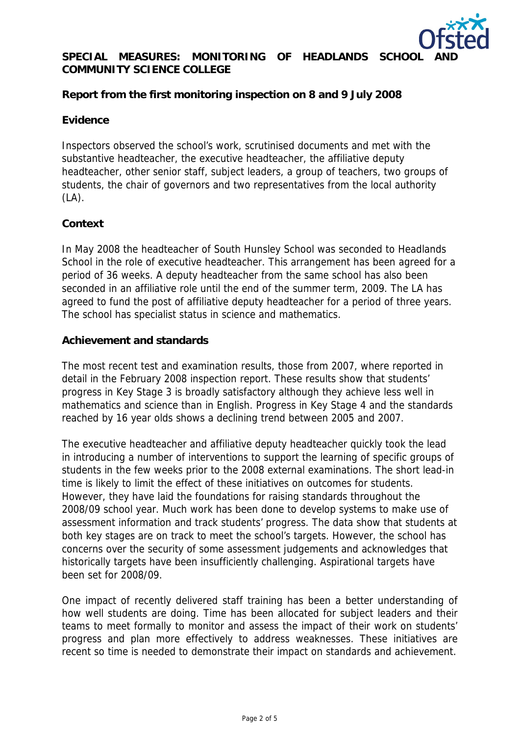

# SPECIAL MEASURES: MONITORING OF HEADLANDS SCHOOL **COMMUNITY SCIENCE COLLEGE**

**Report from the first monitoring inspection on 8 and 9 July 2008**

#### **Evidence**

Inspectors observed the school's work, scrutinised documents and met with the substantive headteacher, the executive headteacher, the affiliative deputy headteacher, other senior staff, subject leaders, a group of teachers, two groups of students, the chair of governors and two representatives from the local authority  $(LA)$ .

## **Context**

In May 2008 the headteacher of South Hunsley School was seconded to Headlands School in the role of executive headteacher. This arrangement has been agreed for a period of 36 weeks. A deputy headteacher from the same school has also been seconded in an affiliative role until the end of the summer term, 2009. The LA has agreed to fund the post of affiliative deputy headteacher for a period of three years. The school has specialist status in science and mathematics.

#### **Achievement and standards**

The most recent test and examination results, those from 2007, where reported in detail in the February 2008 inspection report. These results show that students' progress in Key Stage 3 is broadly satisfactory although they achieve less well in mathematics and science than in English. Progress in Key Stage 4 and the standards reached by 16 year olds shows a declining trend between 2005 and 2007.

The executive headteacher and affiliative deputy headteacher quickly took the lead in introducing a number of interventions to support the learning of specific groups of students in the few weeks prior to the 2008 external examinations. The short lead-in time is likely to limit the effect of these initiatives on outcomes for students. However, they have laid the foundations for raising standards throughout the 2008/09 school year. Much work has been done to develop systems to make use of assessment information and track students' progress. The data show that students at both key stages are on track to meet the school's targets. However, the school has concerns over the security of some assessment judgements and acknowledges that historically targets have been insufficiently challenging. Aspirational targets have been set for 2008/09.

One impact of recently delivered staff training has been a better understanding of how well students are doing. Time has been allocated for subject leaders and their teams to meet formally to monitor and assess the impact of their work on students' progress and plan more effectively to address weaknesses. These initiatives are recent so time is needed to demonstrate their impact on standards and achievement.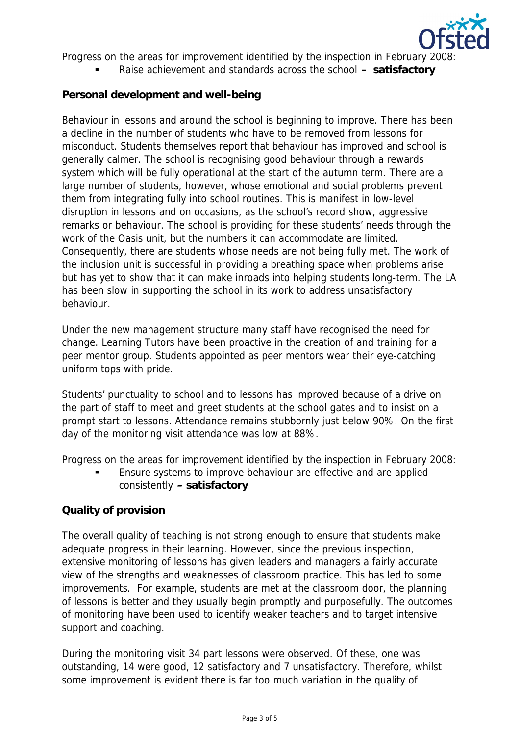

Progress on the areas for improvement identified by the inspection in February 2008:

Raise achievement and standards across the school **– satisfactory**

## **Personal development and well-being**

Behaviour in lessons and around the school is beginning to improve. There has been a decline in the number of students who have to be removed from lessons for misconduct. Students themselves report that behaviour has improved and school is generally calmer. The school is recognising good behaviour through a rewards system which will be fully operational at the start of the autumn term. There are a large number of students, however, whose emotional and social problems prevent them from integrating fully into school routines. This is manifest in low-level disruption in lessons and on occasions, as the school's record show, aggressive remarks or behaviour. The school is providing for these students' needs through the work of the Oasis unit, but the numbers it can accommodate are limited. Consequently, there are students whose needs are not being fully met. The work of the inclusion unit is successful in providing a breathing space when problems arise but has yet to show that it can make inroads into helping students long-term. The LA has been slow in supporting the school in its work to address unsatisfactory behaviour.

Under the new management structure many staff have recognised the need for change. Learning Tutors have been proactive in the creation of and training for a peer mentor group. Students appointed as peer mentors wear their eye-catching uniform tops with pride.

Students' punctuality to school and to lessons has improved because of a drive on the part of staff to meet and greet students at the school gates and to insist on a prompt start to lessons. Attendance remains stubbornly just below 90%. On the first day of the monitoring visit attendance was low at 88%.

Progress on the areas for improvement identified by the inspection in February 2008:

**Ensure systems to improve behaviour are effective and are applied** consistently **– satisfactory**

## **Quality of provision**

The overall quality of teaching is not strong enough to ensure that students make adequate progress in their learning. However, since the previous inspection, extensive monitoring of lessons has given leaders and managers a fairly accurate view of the strengths and weaknesses of classroom practice. This has led to some improvements. For example, students are met at the classroom door, the planning of lessons is better and they usually begin promptly and purposefully. The outcomes of monitoring have been used to identify weaker teachers and to target intensive support and coaching.

During the monitoring visit 34 part lessons were observed. Of these, one was outstanding, 14 were good, 12 satisfactory and 7 unsatisfactory. Therefore, whilst some improvement is evident there is far too much variation in the quality of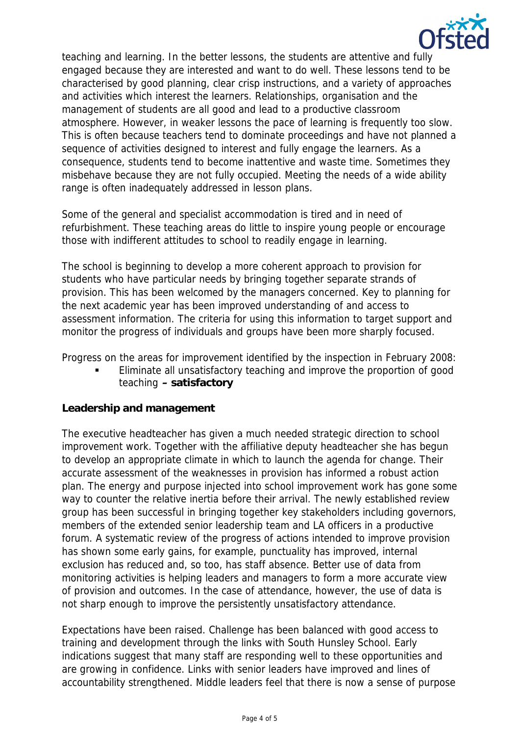

teaching and learning. In the better lessons, the students are attentive and fully engaged because they are interested and want to do well. These lessons tend to be characterised by good planning, clear crisp instructions, and a variety of approaches and activities which interest the learners. Relationships, organisation and the management of students are all good and lead to a productive classroom atmosphere. However, in weaker lessons the pace of learning is frequently too slow. This is often because teachers tend to dominate proceedings and have not planned a sequence of activities designed to interest and fully engage the learners. As a consequence, students tend to become inattentive and waste time. Sometimes they misbehave because they are not fully occupied. Meeting the needs of a wide ability range is often inadequately addressed in lesson plans.

Some of the general and specialist accommodation is tired and in need of refurbishment. These teaching areas do little to inspire young people or encourage those with indifferent attitudes to school to readily engage in learning.

The school is beginning to develop a more coherent approach to provision for students who have particular needs by bringing together separate strands of provision. This has been welcomed by the managers concerned. Key to planning for the next academic year has been improved understanding of and access to assessment information. The criteria for using this information to target support and monitor the progress of individuals and groups have been more sharply focused.

Progress on the areas for improvement identified by the inspection in February 2008:

 Eliminate all unsatisfactory teaching and improve the proportion of good teaching **– satisfactory**

## **Leadership and management**

The executive headteacher has given a much needed strategic direction to school improvement work. Together with the affiliative deputy headteacher she has begun to develop an appropriate climate in which to launch the agenda for change. Their accurate assessment of the weaknesses in provision has informed a robust action plan. The energy and purpose injected into school improvement work has gone some way to counter the relative inertia before their arrival. The newly established review group has been successful in bringing together key stakeholders including governors, members of the extended senior leadership team and LA officers in a productive forum. A systematic review of the progress of actions intended to improve provision has shown some early gains, for example, punctuality has improved, internal exclusion has reduced and, so too, has staff absence. Better use of data from monitoring activities is helping leaders and managers to form a more accurate view of provision and outcomes. In the case of attendance, however, the use of data is not sharp enough to improve the persistently unsatisfactory attendance.

Expectations have been raised. Challenge has been balanced with good access to training and development through the links with South Hunsley School. Early indications suggest that many staff are responding well to these opportunities and are growing in confidence. Links with senior leaders have improved and lines of accountability strengthened. Middle leaders feel that there is now a sense of purpose